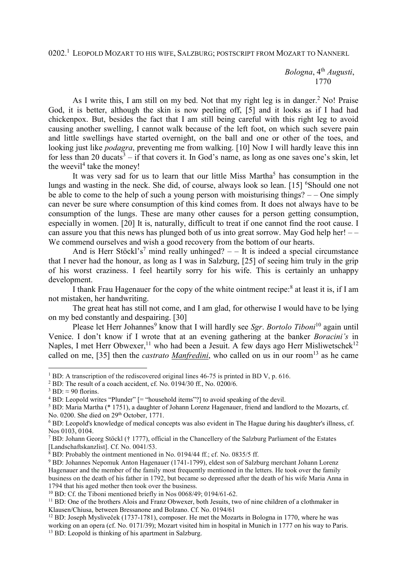0202.<sup>1</sup> Leopold Mozart to his wife, Salzburg; postscript from Mozart to Nannerl

 *Bologna*, 4th *Augusti*, 1770

As I write this, I am still on my bed. Not that my right leg is in danger.<sup>2</sup> No! Praise God, it is better, although the skin is now peeling off, [5] and it looks as if I had had chickenpox. But, besides the fact that I am still being careful with this right leg to avoid causing another swelling, I cannot walk because of the left foot, on which such severe pain and little swellings have started overnight, on the ball and one or other of the toes, and looking just like *podagra*, preventing me from walking. [10] Now I will hardly leave this inn for less than 20 ducats<sup>3</sup>  $-$  if that covers it. In God's name, as long as one saves one's skin, let the weevil<sup>4</sup> take the money!

It was very sad for us to learn that our little Miss Martha<sup>5</sup> has consumption in the lungs and wasting in the neck. She did, of course, always look so lean. [15] <sup>6</sup>Should one not be able to come to the help of such a young person with moisturising things?  $-$  One simply can never be sure where consumption of this kind comes from. It does not always have to be consumption of the lungs. These are many other causes for a person getting consumption, especially in women. [20] It is, naturally, difficult to treat if one cannot find the root cause. I can assure you that this news has plunged both of us into great sorrow. May God help her! – – We commend ourselves and wish a good recovery from the bottom of our hearts.

And is Herr Stöckl's<sup>7</sup> mind really unhinged?  $-$  It is indeed a special circumstance that I never had the honour, as long as I was in Salzburg, [25] of seeing him truly in the grip of his worst craziness. I feel heartily sorry for his wife. This is certainly an unhappy development.

I thank Frau Hagenauer for the copy of the white ointment recipe:<sup>8</sup> at least it is, if I am not mistaken, her handwriting.

The great heat has still not come, and I am glad, for otherwise I would have to be lying on my bed constantly and despairing. [30]

Please let Herr Johannes<sup>9</sup> know that I will hardly see *Sgr. Bortolo Tiboni*<sup>10</sup> again until Venice. I don't know if I wrote that at an evening gathering at the banker *Boracini's* in Naples, I met Herr Obwexer,<sup>11</sup> who had been a Jesuit. A few days ago Herr Misliwetschek<sup>12</sup> called on me, [35] then the *castrato Manfredini*, who called on us in our room<sup>13</sup> as he came

 $\overline{a}$ 

<sup>&</sup>lt;sup>1</sup> BD: A transcription of the rediscovered original lines 46-75 is printed in BD V, p. 616.

<sup>&</sup>lt;sup>2</sup> BD: The result of a coach accident, cf. No. 0194/30 ff., No. 0200/6.

 $3$  BD:  $\approx$  90 florins.

<sup>&</sup>lt;sup>4</sup> BD: Leopold writes "Plunder" [= "household items"?] to avoid speaking of the devil.

<sup>&</sup>lt;sup>5</sup> BD: Maria Martha (\* 1751), a daughter of Johann Lorenz Hagenauer, friend and landlord to the Mozarts, cf. No. 0200. She died on 29<sup>th</sup> October, 1771.

<sup>6</sup> BD: Leopold's knowledge of medical concepts was also evident in The Hague during his daughter's illness, cf. Nos 0103, 0104.

<sup>&</sup>lt;sup>7</sup> BD: Johann Georg Stöckl († 1777), official in the Chancellery of the Salzburg Parliament of the Estates [Landschaftskanzlist]. Cf. No. 0041/53.

<sup>&</sup>lt;sup>8</sup> BD: Probably the ointment mentioned in No. 0194/44 ff.; cf. No. 0835/5 ff.

<sup>&</sup>lt;sup>9</sup> BD: Johannes Nepomuk Anton Hagenauer (1741-1799), eldest son of Salzburg merchant Johann Lorenz Hagenauer and the member of the family most frequently mentioned in the letters. He took over the family business on the death of his father in 1792, but became so depressed after the death of his wife Maria Anna in 1794 that his aged mother then took over the business.

 $10$  BD: Cf. the Tiboni mentioned briefly in Nos  $0.068/49$ ; 0194/61-62.

 $11$  BD: One of the brothers Alois and Franz Obwexer, both Jesuits, two of nine children of a clothmaker in Klausen/Chiusa, between Bressanone and Bolzano. Cf. No. 0194/61

<sup>&</sup>lt;sup>12</sup> BD: Joseph Mysliveček (1737-1781), composer. He met the Mozarts in Bologna in 1770, where he was working on an opera (cf. No. 0171/39); Mozart visited him in hospital in Munich in 1777 on his way to Paris.

<sup>&</sup>lt;sup>13</sup> BD: Leopold is thinking of his apartment in Salzburg.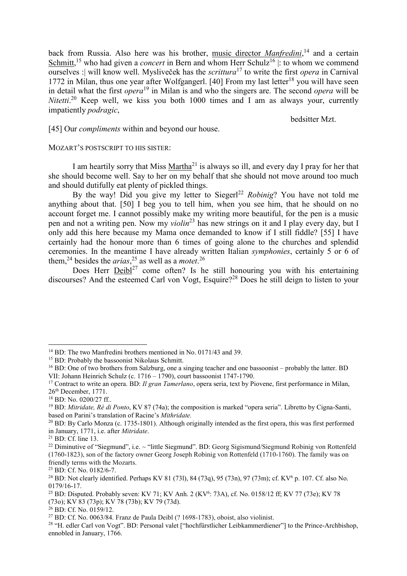back from Russia. Also here was his brother, music director *Manfredini*, <sup>14</sup> and a certain Schmitt,<sup>15</sup> who had given a *concert* in Bern and whom Herr Schulz<sup>16</sup> : to whom we commend ourselves :| will know well. Mysliveček has the *scrittura*<sup>17</sup> to write the first *opera* in Carnival 1772 in Milan, thus one year after Wolfgangerl. [40] From my last letter<sup>18</sup> you will have seen in detail what the first *opera*<sup>19</sup> in Milan is and who the singers are. The second *opera* will be *Nitetti*. <sup>20</sup> Keep well, we kiss you both 1000 times and I am as always your, currently impatiently *podragic*,

bedsitter Mzt.

[45] Our *compliments* within and beyond our house.

## MOZART'S POSTSCRIPT TO HIS SISTER:

I am heartily sorry that Miss Martha<sup>21</sup> is always so ill, and every day I pray for her that she should become well. Say to her on my behalf that she should not move around too much and should dutifully eat plenty of pickled things.

By the way! Did you give my letter to Siegerl<sup>22</sup> Robinig? You have not told me anything about that. [50] I beg you to tell him, when you see him, that he should on no account forget me. I cannot possibly make my writing more beautiful, for the pen is a music pen and not a writing pen. Now my *violin*<sup>23</sup> has new strings on it and I play every day, but I only add this here because my Mama once demanded to know if I still fiddle? [55] I have certainly had the honour more than 6 times of going alone to the churches and splendid ceremonies. In the meantime I have already written Italian *symphonies*, certainly 5 or 6 of them,<sup>24</sup> besides the *arias*,<sup>25</sup> as well as a *motet*.<sup>26</sup>

Does Herr Deibl<sup>27</sup> come often? Is he still honouring you with his entertaining discourses? And the esteemed Carl von Vogt, Esquire?<sup>28</sup> Does he still deign to listen to your

 $\overline{a}$ 

<sup>&</sup>lt;sup>14</sup> BD: The two Manfredini brothers mentioned in No. 0171/43 and 39.

<sup>&</sup>lt;sup>15</sup> BD: Probably the bassoonist Nikolaus Schmitt.

<sup>&</sup>lt;sup>16</sup> BD: One of two brothers from Salzburg, one a singing teacher and one bassoonist – probably the latter. BD VII: Johann Heinrich Schulz (c. 1716 – 1790), court bassoonist 1747-1790.

<sup>17</sup> Contract to write an opera. BD: *Il gran Tamerlano*, opera seria, text by Piovene, first performance in Milan, 26th December, 1771.

<sup>18</sup> BD: No. 0200/27 ff..

<sup>&</sup>lt;sup>19</sup> BD: *Mitridate, Rè di Ponto*, KV 87 (74a); the composition is marked "opera seria". Libretto by Cigna-Santi, based on Parini's translation of Racine's *Mithridate.*

 $^{20}$  BD: By Carlo Monza (c. 1735-1801). Although originally intended as the first opera, this was first performed in January, 1771, i.e. after *Mitridate*.

<sup>21</sup> BD: Cf. line 13.

<sup>&</sup>lt;sup>22</sup> Diminutive of "Siegmund", i.e.  $\sim$  "little Siegmund". BD: Georg Sigismund/Siegmund Robinig von Rottenfeld (1760-1823), son of the factory owner Georg Joseph Robinig von Rottenfeld (1710-1760). The family was on friendly terms with the Mozarts.

<sup>23</sup> BD: Cf. No. 0182/6-7.

<sup>&</sup>lt;sup>24</sup> BD: Not clearly identified. Perhaps KV 81 (731), 84 (73q), 95 (73n), 97 (73m); cf. KV<sup>6</sup> p. 107. Cf. also No. 0179/16-17.

<sup>&</sup>lt;sup>25</sup> BD: Disputed. Probably seven: KV 71; KV Anh. 2 (KV<sup>6</sup>: 73A), cf. No. 0158/12 ff; KV 77 (73e); KV 78 (73o); KV 83 (73p); KV 78 (73b); KV 79 (73d).

 $26$  BD: Cf. No. 0159/12.

 $27$  BD: Cf. No. 0063/84. Franz de Paula Deibl (? 1698-1783), oboist, also violinist.

<sup>&</sup>lt;sup>28</sup> "H. edler Carl von Vogt". BD: Personal valet ["hochfürstlicher Leibkammerdiener"] to the Prince-Archbishop, ennobled in January, 1766.